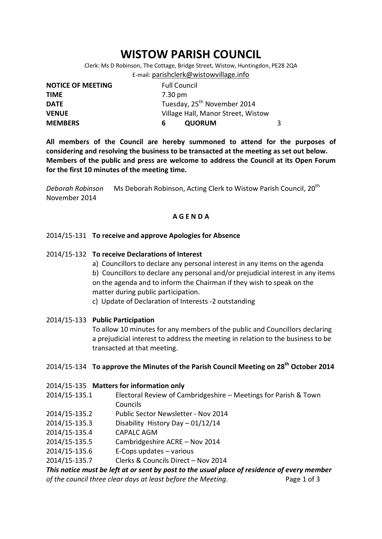# **WISTOW PARISH COUNCIL**

Clerk: Ms D Robinson, The Cottage, Bridge Street, Wistow, Huntingdon, PE28 2QA E-mail: [parishclerk@wistowvillage.info](mailto:parishclerk@wistowvillage.info)

| <b>NOTICE OF MEETING</b> | <b>Full Council</b>                     |  |
|--------------------------|-----------------------------------------|--|
| <b>TIME</b>              | 7.30 pm                                 |  |
| <b>DATE</b>              | Tuesday, 25 <sup>th</sup> November 2014 |  |
| <b>VENUE</b>             | Village Hall, Manor Street, Wistow      |  |
| <b>MEMBERS</b>           | <b>QUORUM</b><br>ь                      |  |

**All members of the Council are hereby summoned to attend for the purposes of considering and resolving the business to be transacted at the meeting as set out below. Members of the public and press are welcome to address the Council at its Open Forum for the first 10 minutes of the meeting time.**

*Deborah Robinson* Ms Deborah Robinson, Acting Clerk to Wistow Parish Council, 20<sup>th</sup> November 2014

# **A G E N D A**

# 2014/15-131 **To receive and approve Apologies for Absence**

## 2014/15-132 **To receive Declarations of Interest**

a) Councillors to declare any personal interest in any items on the agenda b) Councillors to declare any personal and/or prejudicial interest in any items on the agenda and to inform the Chairman if they wish to speak on the matter during public participation.

c) Update of Declaration of Interests -2 outstanding

## 2014/15-133 **Public Participation**

To allow 10 minutes for any members of the public and Councillors declaring a prejudicial interest to address the meeting in relation to the business to be transacted at that meeting.

# 2014/15-134 **To approve the Minutes of the Parish Council Meeting on 28 th October 2014**

## 2014/15-135 **Matters for information only**

- 2014/15-135.1 Electoral Review of Cambridgeshire Meetings for Parish & Town Councils
- 2014/15-135.2 Public Sector Newsletter Nov 2014
- 2014/15-135.3 Disability History Day 01/12/14
- 2014/15-135.4 CAPALC AGM
- 2014/15-135.5 Cambridgeshire ACRE Nov 2014
- 2014/15-135.6 E-Cops updates various
- 2014/15-135.7 Clerks & Councils Direct Nov 2014

*This notice must be left at or sent by post to the usual place of residence of every member of the council three clear days at least before the Meeting.* Page 1 of 3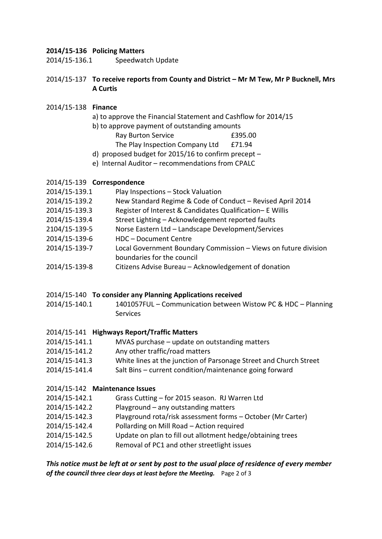# **2014/15-136 Policing Matters**

2014/15-136.1 Speedwatch Update

# 2014/15-137 **To receive reports from County and District – Mr M Tew, Mr P Bucknell, Mrs A Curtis**

# 2014/15-138 **Finance**

- a) to approve the Financial Statement and Cashflow for 2014/15
- b) to approve payment of outstanding amounts
	- Ray Burton Service 61 E395.00
	- The Play Inspection Company Ltd £71.94
- d) proposed budget for 2015/16 to confirm precept –
- e) Internal Auditor recommendations from CPALC

# 2014/15-139 **Correspondence**

- 2014/15-139.1 Play Inspections Stock Valuation
- 2014/15-139.2 New Standard Regime & Code of Conduct Revised April 2014
- 2014/15-139.3 Register of Interest & Candidates Qualification– E Willis
- 2014/15-139.4 Street Lighting Acknowledgement reported faults
- 2104/15-139-5 Norse Eastern Ltd Landscape Development/Services
- 2014/15-139-6 HDC Document Centre
- 2014/15-139-7 Local Government Boundary Commission Views on future division boundaries for the council
- 2014/15-139-8 Citizens Advise Bureau Acknowledgement of donation

## 2014/15-140 **To consider any Planning Applications received**

2014/15-140.1 1401057FUL – Communication between Wistow PC & HDC – Planning Services

# 2014/15-141 **Highways Report/Traffic Matters**

- 2014/15-141.1 MVAS purchase update on outstanding matters
- 2014/15-141.2 Any other traffic/road matters
- 2014/15-141.3 White lines at the junction of Parsonage Street and Church Street
- 2014/15-141.4 Salt Bins current condition/maintenance going forward

# 2014/15-142 **Maintenance Issues**

- 2014/15-142.1 Grass Cutting for 2015 season. RJ Warren Ltd
- 2014/15-142.2 Playground any outstanding matters
- 2014/15-142.3 Playground rota/risk assessment forms October (Mr Carter)
- 2014/15-142.4 Pollarding on Mill Road Action required
- 2014/15-142.5 Update on plan to fill out allotment hedge/obtaining trees
- 2014/15-142.6 Removal of PC1 and other streetlight issues

*This notice must be left at or sent by post to the usual place of residence of every member of the council three clear days at least before the Meeting.* Page 2 of 3